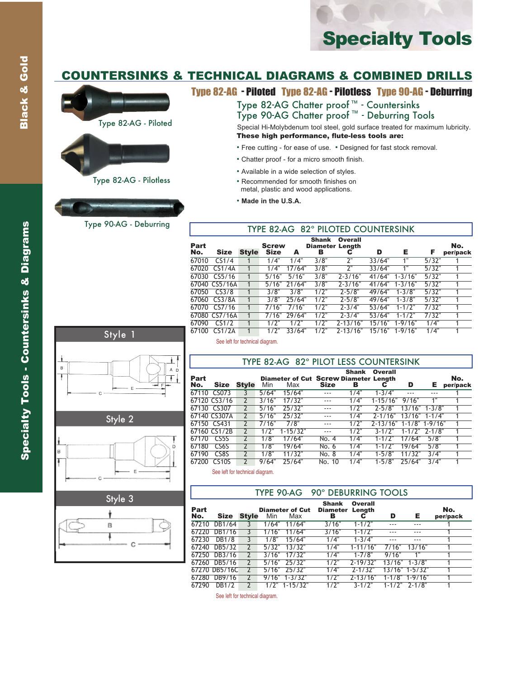# Specialty Tools

## COUNTERSINKS & TECHNICAL DIAGRAMS & COMBINED DRILLS





## Type 82-AG Chatter proof ™ - Countersinks Type 90-AG Chatter proof ™ - Deburring Tools

Special Hi-Molybdenum tool steel, gold surface treated for maximum lubricity. These high performance, flute-less tools are:

- Free cutting for ease of use. Designed for fast stock removal.
- Chatter proof for a micro smooth finish.
- Available in a wide selection of styles.
- Recommended for smooth finishes on metal, plastic and wood applications.
- **Made in the U.S.A.**

## Type 90-AG - Deburring TYPE 82-AG 82° PILOTED COUNTERSINK

| Part<br>No. | <b>Size</b>   | Style | <b>Screw</b><br><b>Size</b> | А      | <b>Shank</b><br><b>Diameter Length</b><br>в | <b>Overall</b><br>С | D      | Е           | F     | No.<br>per/pack |
|-------------|---------------|-------|-----------------------------|--------|---------------------------------------------|---------------------|--------|-------------|-------|-----------------|
| 67010       | CS1/4         |       | 1/4"                        | 1/4"   | 3/8"                                        | 2"                  | 33/64" | 1"          | 5/32" |                 |
| 67020       | CS1/4A        |       | 1/4"                        | 17/64" | 3/8"                                        | ን"                  | 33/64" | 1"          | 5/32" |                 |
| 67030       | CS5/16        |       | 5/16"                       | 5/16"  | 3/8"                                        | $2 - 3/16"$         | 41/64" | $1 - 3/16"$ | 5/32" |                 |
|             | 67040 CS5/16A |       | 5/16"                       | 21/64" | 3/8"                                        | $2 - 3/16"$         | 41/64" | $1 - 3/16"$ | 5/32" | 1               |
| 67050       | CS3/8         |       | 3/8"                        | 3/8"   | 1/2"                                        | $2 - 5/8$ "         | 49/64" | $1 - 3/8"$  | 5/32" |                 |
| 67060       | CS3/8A        |       | 3/8"                        | 25/64" | $1/2$ "                                     | $2 - 5/8"$          | 49/64" | $1 - 3/8"$  | 5/32" | 1               |
| 67070       | CS7/16        |       | 7/16"                       | 7/16"  | 1/2"                                        | $2 - 3/4"$          | 53/64" | $1 - 1/2"$  | 7/32" |                 |
|             | 67080 CS7/16A |       | 7/16"                       | 29/64" | 1/2"                                        | $2 - 3/4"$          | 53/64" | $1 - 1/2$ " | 7/32" |                 |
| 67090       | CS1/2         |       | 1/2"                        | 1/2"   | 1/2"                                        | $2 - 13/16"$        | 15/16" | $1 - 9/16"$ | 1/4"  |                 |
| 67100       | CS1/2A        |       | 1/2"                        | 33/64" | 1/2"                                        | 2-13/16"            | 15/16" | $1 - 9/16"$ | 1/4"  |                 |

## Style 1 Ĺ,  $\overline{B}$ A D Ŧ

Style 2



| Style 3 |  |
|---------|--|
|         |  |
|         |  |
|         |  |
|         |  |

See left for technical diagram.

|             |                   |       |       | TYPE 82-AG 82° PILOT LESS COUNTERSINK               |             |                   |                         |                 |            |                 |
|-------------|-------------------|-------|-------|-----------------------------------------------------|-------------|-------------------|-------------------------|-----------------|------------|-----------------|
| Part<br>No. | <b>Size</b>       | Style | Min   | <b>Diameter of Cut Screw Diameter Length</b><br>Max | <b>Size</b> | <b>Shank</b><br>в | Overall<br>С            | D               | Е          | No.<br>per/pack |
| 67110       | CS073             |       | 5/64" | 15/64"                                              | ---         | 1/4"              | $1 - 3/4"$              | ---             |            |                 |
|             | 67120 CS3/16      |       | 3/16" | 17/32"                                              |             | 1/4"              | $1 - 15/16"$            | 9/16"           | 1"         |                 |
|             | 67130 CS307       |       | 5/16" | 25/32"                                              | $- - -$     | 1/2"              | $7 - 5/8"$              | 13/16"          | $1 - 3/8"$ |                 |
|             | 67140 CS307A      |       | 5/16" | 75/37"                                              | $- - -$     | 1/4"              | $2 - 1/16$ "            | $13/16"$ 1-1/4" |            |                 |
|             | 67150 CS431       |       | 7/16" | 7/8"                                                | ---         | 1/2"              | 2-13/16" 1-1/8" 1-9/16" |                 |            |                 |
|             | 67160 CS1/2B      |       | 1/2"  | $1 - 15/32"$                                        |             | 1/2"              | $3 - 1/2"$              | $1 - 1/2"$      | $2 - 1/8"$ | 1               |
| 67170       | CS5S              |       | 1/8"  | 17/64"                                              | No. 4       | 1/4"              | $1 - 1/2"$              | 17/64"          | 5/8"       |                 |
| 67180       | CS <sub>6</sub> S |       | 1/8"  | 19/64"                                              | No. 6       | 1/4"              | $1 - 1/2"$              | 19/64"          | 5/8"       |                 |
| 67190       | CS8S              |       | 1/8"  | 11/32"                                              | No. 8       | 1/4"              | $1 - 5/8"$              | 11/32"          | 3/4"       |                 |
| 67200       | <b>CS10S</b>      |       | 9/64" | 25/64"                                              | No. 10      | 1/4"              | $1 - 5/8"$              | 25/64"          | 3/4"       |                 |

See left for technical diagram.

|             |              |       |       |                               | TYPE 90-AG 90° DEBURRING TOOLS  |                |       |        |                 |
|-------------|--------------|-------|-------|-------------------------------|---------------------------------|----------------|-------|--------|-----------------|
| Part<br>No. | <b>Size</b>  | Stvle | Min   | <b>Diameter of Cut</b><br>Max | <b>Shank</b><br>Diameter Length | <b>Overall</b> | D     | Е.     | No.<br>per/pack |
|             | 67210 DB1/64 |       |       | $1/64"$ 11/64"                | 3/16"                           | $1 - 1/2$ "    |       |        |                 |
|             | 67220 DB1/16 |       | 1/16" | 11/64"                        | 3/16"                           | $1 - 1/2$ "    |       |        |                 |
| 67230       | DB1/8        |       | 1/8"  | 15/64"                        | 1/4"                            | $1 - 3/4"$     |       |        |                 |
|             | 67240 DB5/32 |       | 5/32" | 13/32"                        | 1/4"                            | $1 - 11/16"$   | 7/16" | 13/16" |                 |
|             | 67250 DB3/16 |       | 3/16" | 17/32"                        | 1/4"                            | $1 - 7/8"$     | 9/16" | 1"     |                 |

67260 DB5/16 2 5/16" 25/32" 1/2" 2-19/32" 13/16" 1-3/8" 1 67270 DB5/16C 2 5/16" 25/32" 1/4" 2-1/32" 13/16" 1-5/32" 1 67280 DB9/16 2 9/16" 1-3/32" 1/2" 2-13/16" 1-1/8" 1-9/16" 1

67290 DB1/2 2 1/2" 1-15/32" 1/2" 3-1/2" 1-1/2" 2-1/8" 1

See left for technical diagram.